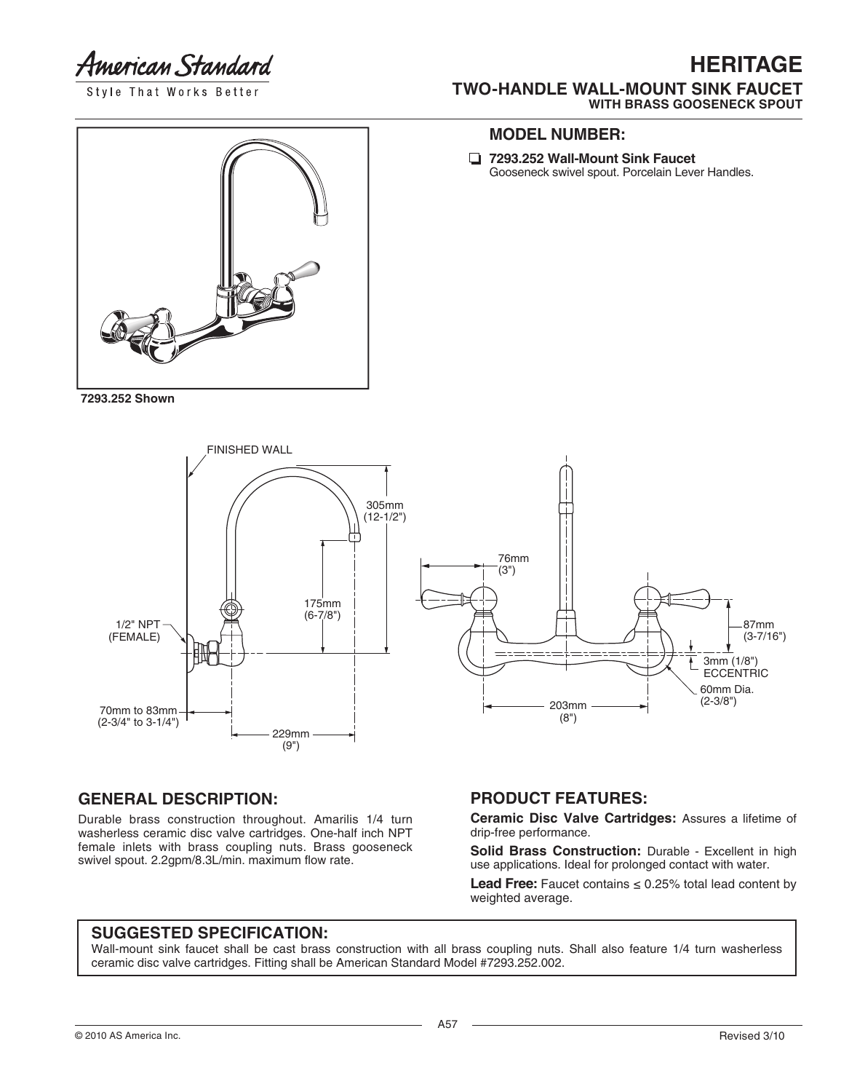American Standard

Style That Works Better

## **HERITAGE TWO-HANDLE WALL-MOUNT SINK FAUCET WITH BRASS GOOSENECK SPOUT**



**7293.252 Shown**

#### **MODEL NUMBER:**

**7293.252 Wall-Mount Sink Faucet** Gooseneck swivel spout. Porcelain Lever Handles.



#### **GENERAL DESCRIPTION:**

Durable brass construction throughout. Amarilis 1/4 turn washerless ceramic disc valve cartridges. One-half inch NPT female inlets with brass coupling nuts. Brass gooseneck swivel spout. 2.2gpm/8.3L/min. maximum flow rate.

### **PRODUCT FEATURES:**

**Ceramic Disc Valve Cartridges:** Assures a lifetime of drip-free performance.

Solid Brass Construction: Durable - Excellent in high use applications. Ideal for prolonged contact with water.

**Lead Free:** Faucet contains  $\leq 0.25\%$  total lead content by weighted average.

### **SUGGESTED SPECIFICATION:**

Wall-mount sink faucet shall be cast brass construction with all brass coupling nuts. Shall also feature 1/4 turn washerless ceramic disc valve cartridges. Fitting shall be American Standard Model #7293.252.002.